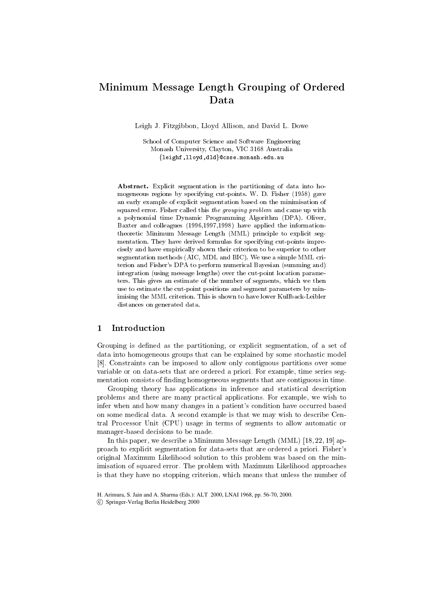# Minimum Message Length Grouping of Ordered Data

Leigh J. Fitzgibbon, Lloyd Allison, and David L. Dowe

School of Computer Science and Software Engineering Monash University, Clayton, VIC 3168 Australia {leighf,lloyd,dld}@csse.monash.edu.au

Abstract. Explicit segmentation is the partitioning of data into homogeneous regions by specifying cut-points. W. D. Fisher (1958) gave an early example of explicit segmentation based on the minimisation of squared error. Fisher called this the grouping problem and came up with a polynomial time Dynamic Programming Algorithm (DPA). Oliver, Baxter and colleagues (1996,1997,1998) have applied the informationtheoretic Minimum Message Length (MML) principle to explicit seg mentation. They have derived formulas for specifying cut-points imprecisely and have empirically shown their criterion to be superior to other segmentation methods (AIC, MDL and BIC). We use a simple MML criterion and Fisher's DPA to perform numerical Bayesian (summing and) integration (using message lengths) over the cut-point location parameters. This gives an estimate of the number of segments, which we then use to estimate the cut-point positions and segment parameters by minimising the MML criterion. This is shown to have lower Kullback-Leibler distances on generated data.

### Introduction  $\mathbf{1}$

Grouping is defined as the partitioning, or explicit segmentation, of a set of data into homogeneous groups that can be explained by some stochastic model [8]. Constraints can be imposed to allow only contiguous partitions over some variable or on data-sets that are ordered a priori. For example, time series segmentation consists of finding homogeneous segments that are contiguous in time.

Grouping theory has applications in inference and statistical description problems and there are many practical applications. For example, we wish to infer when and how many changes in a patient's condition have occurred based on some medical data. A second example is that we may wish to describe Central Processor Unit (CPU) usage in terms of segments to allow automatic or manager-based decisions to be made.

In this paper, we describe a Minimum Message Length (MML) [18, 22, 19] approach to explicit segmentation for data-sets that are ordered a priori. Fisher's original Maximum Likelihood solution to this problem was based on the minimisation of squared error. The problem with Maximum Likelihood approaches is that they have no stopping criterion, which means that unless the number of

c Springer-Verlag Berlin Heidelberg 2000

H. Arimura, S. Jain and A. Sharma (Eds.): ALT 2000, LNAI 1968, pp. 56-70, 2000.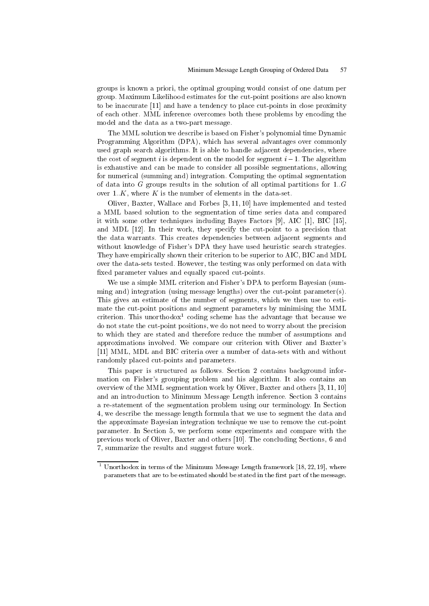groups is known a priori, the optimal grouping would consist of one datum per group. Maximum Likelihood estimates for the cut-point positions are also known to be inaccurate [11] and have a tendency to place cut-points in close proximity of each other. MML inference overcomes both these problems by encoding the of each other. MML inference overcomes both these problems by encoding these problems by encoding these problems by encoding the set of  $\mathcal{M}$ model and the data as a two-part message.

The MML solution we describe is based on Fisher's polynomial time Dynamic Programming Algorithm (DPA), which has several advantages over commonly used graph search algorithms. It is able to handle adjacent dependencies, where the cost of segment i is dependent on the model for segment  $i-1$ . The algorithm is exhaustive and can be made to consider all possible segmentations, allowing for numerical (summing and) integration. Computing the optimal segmentation of data into G groups results in the solution of all optimal partitions for  $1..G$ over  $1..K$ , where K is the number of elements in the data-set.

Oliver, Baxter, Wallace and Forbes [3, 11, 10] have implemented and tested Oliver, Baxter, Wallace and Forbes [3, 11, 10] have implemented and tested a MML based solution to the segmentation of time series data and compared it with some other techniques including Bayes Factors [9], AIC [1], BIC [15], and MDL [12]. In their work, they specify the cut-point to a precision that the data warrants. This creates dependencies between adjacent segments and without knowledge of Fisher's DPA they have used heuristic search strategies. They have empirically shown their criterion to be superior to AIC, BIC and MDL over the data-sets tested. However, the testing was only performed on data with xed parameter values and equally spaced cut-points.

We use a simple MML criterion and Fisher's DPA to perform Bayesian (summing and) integration (using message lengths) over the cut-point parameter(s). This gives an estimate of the number of segments, which we then use to estimate the cut-point positions and segment parameters by minimising the MML criterion. This unorthodox<sup>1</sup> coding scheme has the advantage that because we do not state the cut-point positions, we do not need to worry about the precision to which they are stated and therefore reduce the number of assumptions and approximations involved. We compare our criterion with Oliver and Baxter's [11] MML, MDL and BIC criteria over a number of data-sets with and without randomly placed cut-points and parameters.

This paper is structured as follows. Section 2 contains background information on Fisher's grouping problem and his algorithm. It also contains an overview of the MML segmentation work by Oliver, Baxter and others [3, 11, 10] and an introduction to Minimum Message Length inference. Section 3 contains a re-statement of the segmentation problem using our terminology. In Section 4, we describe the message length formula that we use to segment the data and the approximate Bayesian integration technique we use to remove the cut-point parameter. In Section 5, we perform some experiments and compare with the previous work of Oliver, Baxter and others [10]. The concluding Sections, 6 and 7, summarize the results and suggest future work.

<sup>1</sup> Unorthodox in terms of the Minimum Message Length framework [18, 22, 19], where parameters that are to be estimated should be stated in the first part of the message.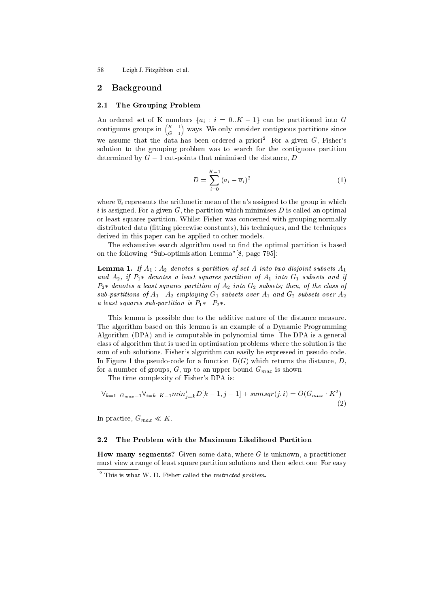### $\overline{2}$ **Background**

#### The Grouping Problem  $2.1$ 2.1 The Grouping Problem

An ordered set of K numbers  $\{a_i : i = 0..K - 1\}$  can be partitioned into G contiguous groups in  $\binom{K-1}{G-1}$  ways. We only consider contiguous partitions since we assume that the data has been ordered a priori<sup>2</sup>. For a given  $G$ , Fisher's solution to the grouping problem was to search for the contiguous partition determined by  $G-1$  cut-points that minimised the distance, D:

$$
D = \sum_{i=0}^{K-1} (a_i - \overline{a}_i)^2
$$
 (1)

where  $\overline{a}_i$  represents the arithmetic mean of the a's assigned to the group in which i is assigned. For a given  $G$ , the partition which minimises  $D$  is called an optimal or least squares partition. Whilst Fisher was concerned with grouping normally distributed data (fitting piecewise constants), his techniques, and the techniques derived in this paper can be applied to other models.

The exhaustive search algorithm used to find the optimal partition is based on the following "Sub-optimisation Lemma"[8, page 795]:

**Lemma 1.** If  $A_1 : A_2$  denotes a partition of set A into two disjoint subsets  $A_1$ and  $A_2$ , if  $P_1*$  denotes a least squares partition of  $A_1$  into  $G_1$  subsets and if  $P_2*$  denotes a least squares partition of  $A_2$  into  $G_2$  subsets; then, of the class of sub-partitions of  $A_1: A_2$  employing  $G_1$  subsets over  $A_1$  and  $G_2$  subsets over  $A_2$ a least squares sub-partition is  $P_1 * : P_2 *$ .

This lemma is possible due to the additive nature of the distance measure. The algorithm based on this lemma is an example of a Dynamic Programming Algorithm (DPA) and is computable in polynomial time. The DPA is a general class of algorithm that is used in optimisation problems where the solution is the sum of sub-solutions. Fisher's algorithm can easily be expressed in pseudo-code. In Figure 1 the pseudo-code for a function  $D(G)$  which returns the distance, D, for a number of groups, G, up to an upper bound  $G_{max}$  is shown.

The time complexity of Fisher's DPA is:

$$
\forall_{k=1..G_{max}-1}\forall_{i=k..K-1}min_{j=k}^{i}D[k-1,j-1]+sumsqr(j,i)=O(G_{max}\cdot K^{2})
$$
\n(2)

In practice,  $G_{max} \ll K$ .

**How many segments?** Given some data, where  $G$  is unknown, a practitioner must view a range of least square partition solutions and then select one. For easy

<sup>2</sup> This is what W. D. Fisher called the restricted problem.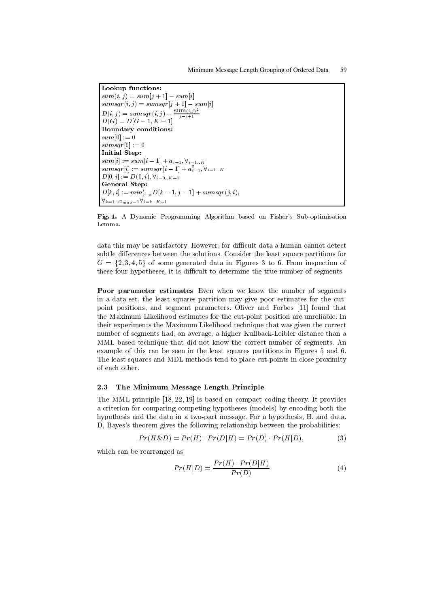```
Lookup functions: sum(i, j) = sum[j + 1] - sum[i]sumsqr(i, j) = sumsqr[j + 1] - sum[i]D(i, j) = sumsqrt(i, j) - \frac{sum(i, j)}{j-i+1}D(G) = D[G - 1, K - 1]Boundary conditions:
\mathcal{Q} conditions: \mathcal{Q}sum[0] := 0sumsqr[0] := 0Initial Step: sum[i] := sum[i-1] + a_{i-1}, \forall_{i=1..K}sumsqr[i]:=sumsqr[i-1]+a^z_{i-1}, \forall_{i=1..K}D[0, i] := D(0, i), \forall_{i=0...K-1}General Step:
D[k, i] := min_{j=k}^{i} D[k - 1, j - 1] + sumsqr(j, i),\forall_{k=1...G}<sub>max</sub> - 1\forall_{i=k...K-1}
```
Fig. 1. A Dynamic Programming Algorithm based on Fisher's Sub-optimisation Lemma.

data this may be satisfactory. However, for difficult data a human cannot detect subtle differences between the solutions. Consider the least square partitions for  $G = \{2, 3, 4, 5\}$  of some generated data in Figures 3 to 6. From inspection of these four hypotheses, it is difficult to determine the true number of segments.

Poor parameter estimates Even when we know the number of segments in a data-set, the least squares partition may give poor estimates for the cutpoint positions, and segment parameters. Oliver and Forbes [11] found that the Maximum Likelihood estimates for the cut-point position are unreliable. In their experiments the Maximum Likelihood technique that was given the correct number of segments had, on average, a higher Kullback-Leibler distance than a MML based technique that did not know the correct number of segments. An example of this can be seen in the least squares partitions in Figures 5 and 6. The least squares and MDL methods tend to place cut-points in close proximity of each other.

### 2.3 The Minimum Message Length Principle

The MML principle [18, 22, 19] is based on compact coding theory. It provides a criterion for comparing competing hypotheses (models) by encoding both the hypothesis and the data in a two-part message. For a hypothesis, H, and data, D, Bayes's theorem gives the following relationship between the probabilities:

$$
Pr(H\&D) = Pr(H) \cdot Pr(D|H) = Pr(D) \cdot Pr(H|D), \tag{3}
$$

which can be rearranged as:

$$
Pr(H|D) = \frac{Pr(H) \cdot Pr(D|H)}{Pr(D)}\tag{4}
$$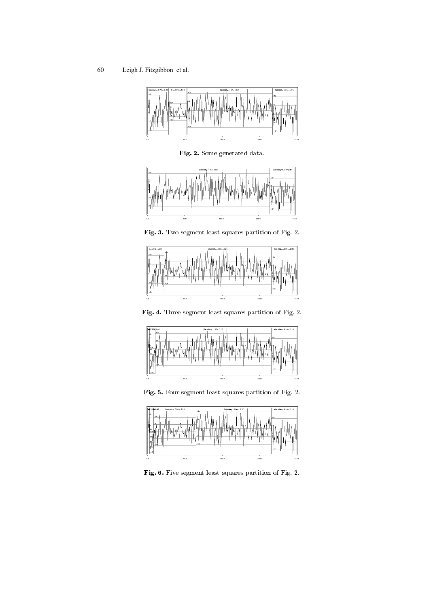

Fig. 2. Some generated data.



Fig. 3. Two segment least squares partition of Fig. 2.



Fig. 4. Three segment least squares partition of Fig. 2.



Fig. 5. Four segment least squares partition of Fig. 2.



Fig. 6. Five segment least squares partition of Fig. 2.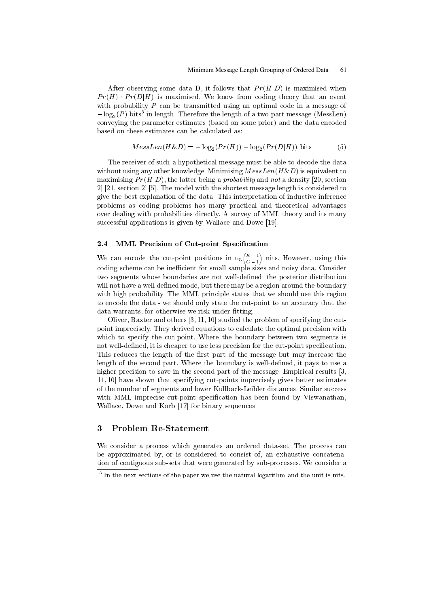After observing some data D, it follows that  $Pr(H|D)$  is maximised when  $Pr(H) \cdot Pr(D|H)$  is maximised. We know from coding theory that an event with probability  $P$  can be transmitted using an optimal code in a message of  $-\log_2(r)$  bits 3 in length. Therefore the length of a two-part message (MessLen) conveying the parameter estimates (based on some prior) and the data encoded based on these estimates can be calculated as:

$$
Message(H\&D) = -\log_2(Pr(H)) - \log_2(Pr(D|H))
$$
bits (5)

The receiver of such a hypothetical message must be able to decode the data without using any other knowledge. Minimising  $Message(H\&D)$  is equivalent to maximising  $Pr(H|D)$ , the latter being a *probability* and not a density [20, section 2] [21, section 2] [5]. The model with the shortest message length is considered to give the best explanation of the data. This interpretation of inductive inference problems as coding problems has many practical and theoretical advantages over dealing with probabilities directly. A survey of MML theory and its many successful applications is given by Wallace and Dowe [19].

### $2.4$ MML Precision of Cut-point Specification

We can encode the cut-point positions in  $\log\binom{K-1}{G-1}$  nits. However, using this coding scheme can be inefficient for small sample sizes and noisy data. Consider two segments whose boundaries are not well-defined: the posterior distribution will not have a region around mode, but there may be a region around the boundary be a region around the boundary be a region around the boundary be a region around the boundary be a region around the boundary be a region with high probability. The MML principle states that we should use this region to encode the data - we should only state the cut-point to an accuracy that the data warrants, for otherwise we risk under-fitting.

Oliver, Baxter and others [3, 11, 10] studied the problem of specifying the cutpoint imprecisely. They derived equations to calculate the optimal precision with which to specify the cut-point. Where the boundary between two segments is not well-defined, it is cheaper to use less precision for the cut-point specification. This reduces the length of the first part of the message but may increase the length of the second part. Where the boundary is well-defined, it pays to use a higher precision to save in the second part of the message. Empirical results [3, 11, 10] have shown that specifying cut-points imprecisely gives better estimates of the number of segments and lower Kullback-Leibler distances. Similar success with MML imprecise cut-point specification has been found by Viswanathan, Wallace, Dowe and Korb [17] for binary sequences.

### 3 3 Problem Re-Statement

We consider a process which generates an ordered data-set. The process can be approximated by, or is considered to consist of, an exhaustive concatenation of contiguous sub-sets that were generated by sub-processes. We consider a

 $^\circ$  in the next sections of the paper we use the natural logarithm and the unit is nits.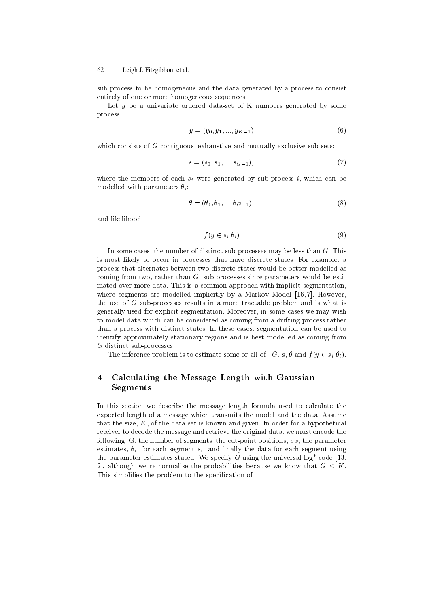sub-process to be homogeneous and the data generated by a process to consist entirely of one or more homogeneous sequences.

Let  $y$  be a univariate ordered data-set of K numbers generated by some process:

$$
y = (y_0, y_1, ..., y_{K-1})
$$
 (6)

which consists of  $G$  contiguous, exhaustive and mutually exclusive sub-sets:

$$
s = (s_0, s_1, \dots, s_{G-1}), \tag{7}
$$

where the members of each  $s_i$  were generated by sub-process i, which can be modelled with parameters  $\theta_i$ :

$$
\theta = (\theta_0, \theta_1, \dots, \theta_{G-1}),\tag{8}
$$

and likelihood:

$$
f(y \in s_i | \theta_i) \tag{9}
$$

In some cases, the number of distinct sub-processes may be less than  $G$ . This is most likely to occur in processes that have discrete states. For example, a process that alternates between two discrete states would be better modelled as coming from two, rather than  $G$ , sub-processes since parameters would be estimated over more data. This is a common approach with implicit segmentation, where segments are modelled implicitly by a Markov Model [16, 7]. However, the use of  $G$  sub-processes results in a more tractable problem and is what is generally used for explicit segmentation. Moreover, in some cases we may wish to model data which can be considered as coming from a drifting process rather than a process with distinct states. In these cases, segmentation can be used to identify approximately stationary regions and is best modelled as coming from G distinct sub-processes.

The inference problem is to estimate some or all of : G, s,  $\theta$  and  $f(y \in s_i | \theta_i)$ .

### $\overline{\mathbf{4}}$ Calculating the Message Length with Gaussian Segments

In this section we describe the message length formula used to calculate the expected length of a message which transmits the model and the data. Assume that the size,  $K$ , of the data-set is known and given. In order for a hypothetical receiver to decode the message and retrieve the original data, we must encode the following: G, the number of segments; the cut-point positions,  $c|s$ ; the parameter estimates,  $\theta_i$ , for each segment  $s_i$ ; and finally the data for each segment using the parameter estimates stated. We specify G using the universal log<sup>\*</sup> code [13, 2, although we re-normalise the probabilities because we know that  $G \leq K$ . This simplifies the problem to the specification of: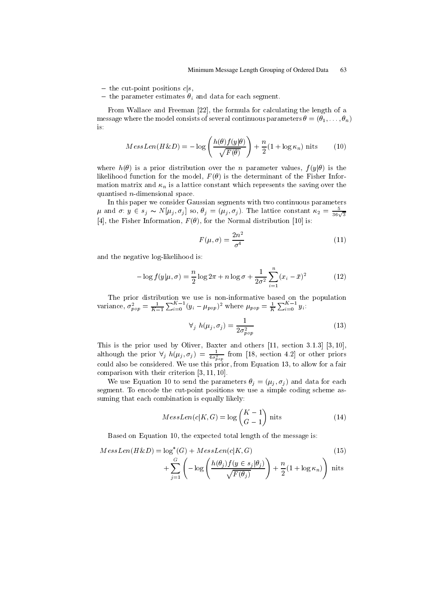- ${}$  the cut-point positions  $c|s$ ,
- the parameter estimates  $\theta_i$  and data for each segment.

From Wallace and Freeman [22], the formula for calculating the length of a message where the model consists of several continuous parameters  $\theta = (\theta_1, \ldots, \theta_n)$ 

$$
Message(nH\&D) = -\log\left(\frac{h(\theta)f(y|\theta)}{\sqrt{F(\theta)}}\right) + \frac{n}{2}(1 + \log \kappa_n) \text{ nits} \tag{10}
$$

where  $h(\theta)$  is a prior distribution over the *n* parameter values,  $f(y|\theta)$  is the likelihood function for the model,  $F(\theta)$  is the determinant of the Fisher Information matrix and  $\kappa_n$  is a lattice constant which represents the saving over the quantised n-dimensional space.

In this paper we consider Gaussian segments with two continuous parameters  $\mu$  and  $\sigma: y \in s_j \sim N[\mu_j, \sigma_j]$  so,  $\theta_j = (\mu_j, \sigma_j)$ . The lattice constant  $\kappa_2 = \frac{3}{36\sqrt{3}}$ [4], the Fisher Information,  $F(\theta)$ , for the Normal distribution [10] is:

$$
F(\mu, \sigma) = \frac{2n^2}{\sigma^4} \tag{11}
$$

and the negative log-likelihood is:

$$
-\log f(y|\mu,\sigma) = \frac{n}{2}\log 2\pi + n\log \sigma + \frac{1}{2\sigma^2}\sum_{i=1}^n (x_i - \bar{x})^2
$$
 (12)

The prior distribution we use is non-informative based on the population variance,  $\sigma_{pop}^2 = \frac{1}{K-1} \sum_{i=0}^{K-1} (y_i - \mu_{pop})^2$  where  $\mu_{pop} = \frac{1}{K} \sum_{i=0}^{K-1} y_i$ :

$$
\forall j \ h(\mu_j, \sigma_j) = \frac{1}{2\sigma_{pop}^2} \tag{13}
$$

This is the prior used by Oliver, Baxter and others [11, section 3.1.3] [3, 10], although the prior  $\forall j \ h(\mu_j, \sigma_j) = \frac{1}{4\sigma_{\text{pop}}^2}$  from [18, section 4.2] or other priors could also be considered. We use this prior, from Equation 13, to allow for a fair comparison with their criterion [3, 11, 10].

We use Equation 10 to send the parameters  $\theta_i = (\mu_i, \sigma_i)$  and data for each segment. To encode the cut-point positions we use a simple coding scheme assuming that each combination is equally likely:

$$
Message(c|K, G) = \log\binom{K-1}{G-1} \text{ nits}
$$
\n(14)

Based on Equation 10, the expected total length of the message is:

$$
Message(H\&D) = \log^*(G) + Messagen(c|K, G)
$$
\n(15)

$$
+\sum_{j=1}^{G} \left(-\log\left(\frac{h(\theta_j)f(y \in s_j|\theta_j)}{\sqrt{F(\theta_j)}}\right) + \frac{n}{2}(1+\log \kappa_n)\right) \text{ nits}
$$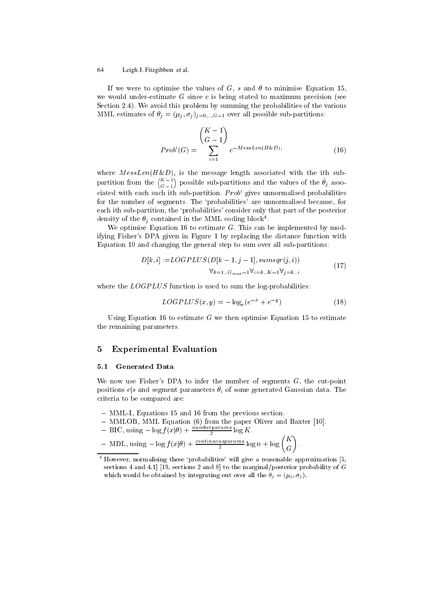If we were to optimise the values of G, s and  $\theta$  to minimise Equation 15, we would under-estimate  $G$  since  $c$  is being stated to maximum precision (see Section 2.4). We avoid this problem by summing the probabilities of the various MML estimates of  $\theta_i = (\mu_i, \sigma_i)_{i=0...G-1}$  over all possible sub-partitions:

$$
Prob'(G) = \sum_{i=1}^{K-1} e^{-MessLen(H\&D)_i}
$$
\n(16)

where  $Message$  is the message length associated with the ith subpartition from the  $\binom{K-1}{G-1}$  possible sub-partitions and the values of the  $\hat{\theta}_j$  associated with each such ith sub-partition.  $Prob'$  gives unnormalised probabilities for the number of segments. The `probabilities' are unnormalised because, for each ith sub-partition, the 'probabilities' consider only that part of the posterior density of the  $v_j$  contained in the MML coding block.

We optimise Equation 16 to estimate  $G$ . This can be implemented by modifying Fisher's DPA given in Figure 1 by replacing the distance function with Equation 10 and changing the general step to sum over all sub-partitions:

$$
D[k, i] := LOGPLUS(D[k - 1, j - 1], sumsqr(j, i))
$$
  
\n
$$
\forall_{k = 1..G_{max} - 1} \forall_{i = k..K - 1} \forall_{j = k..i}
$$
\n(17)

where the  $LOGPLUS$  function is used to sum the log-probabilities:

$$
LOGPLUS(x, y) = -\log_e(e^{-x} + e^{-y})
$$
\n(18)

Using Equation 16 to estimate  $G$  we then optimise Equation 15 to estimate the remaining parameters.

### 5 5 Experimental Evaluation

### **Generated Data**  $5.1$

We now use Fisher's DPA to infer the number of segments  $G$ , the cut-point positions  $c|s$  and segment parameters  $\theta_i$  of some generated Gaussian data. The criteria to be compared are:

- { MML-I, Equations 15 and 16 from the previous section.
- { MMLOB, MML Equation (6) from the paper Oliver and Baxter [10].
- $-$  BIC, using  $-\log f(x|\theta) + \frac{numberparams}{2} \log K$ .

$$
- \text{ MDL, using } -\log f(x|\theta) + \frac{\text{continuous} \text{params}}{2} \log n + \log \binom{K}{G}.
$$

<sup>4</sup> However, normalising these `probabilities' will give a reasonable approximation [5, sections 4 and 4.1] [19, sections 2 and 8] to the marginal/posterior probability of <sup>G</sup> which would be obtained by integrating out over all the  $\theta_j = (\mu_j, \sigma_j)$ .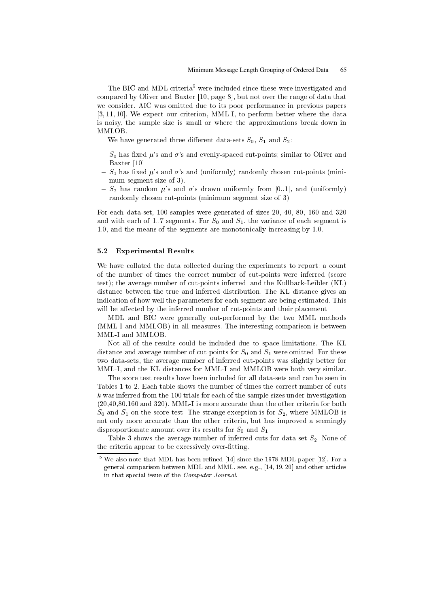The BIC and MDL criteria<sup>5</sup> were included since these were investigated and compared by Oliver and Baxter [10, page 8], but not over the range of data that we consider. AIC was omitted due to its poor performance in previous papers [3, 11, 10]. We expect our criterion, MML-I, to perform better where the data is noisy, the sample size is small or where the approximations break down in MMLOB.

We have generated three different data-sets  $S_0$ ,  $S_1$  and  $S_2$ :

- ${ S_0}$  has fixed  $\mu$ 's and  $\sigma$ 's and evenly-spaced cut-points; similar to Oliver and Baxter [10].
- ${ S_1 }$  has fixed  $\mu$ 's and  $\sigma$ 's and (uniformly) randomly chosen cut-points (minimum segment size of 3).
- ${ S_2}$  has random  $\mu$ 's and  $\sigma$ 's drawn uniformly from [0..1], and (uniformly) randomly chosen cut-points (minimum segment size of 3).

For each data-set, 100 samples were generated of sizes 20, 40, 80, 160 and 320 and with each of 1..7 segments. For  $S_0$  and  $S_1$ , the variance of each segment is 1.0, and the means of the segments are monotonically increasing by 1.0.

### 5.2 Experimental Results

We have collated the data collected during the experiments to report: a count of the number of times the correct number of cut-points were inferred (score test); the average number of cut-points inferred; and the Kullback-Leibler (KL) distance between the true and inferred distribution. The KL distance gives an indication of how well the parameters for each segment are being estimated. This will be affected by the inferred number of cut-points and their placement.

MDL and BIC were generally out-performed by the two MML methods (MML-I and MMLOB) in all measures. The interesting comparison is between MML-I and MMLOB.

Not all of the results could be included due to space limitations. The KL distance and average number of cut-points for  $S_0$  and  $S_1$  were omitted. For these two data-sets, the average number of inferred cut-points was slightly better for MML-I, and the KL distances for MML-I and MMLOB were both very similar.

Tables 1 to 2. Each table shows the number of times the correct number of cuts  $k$  was inferred from the 100 trials for each of the sample sizes under investigation (20,40,80,160 and 320). MML-I is more accurate than the other criteria for both  $S_0$  and  $S_1$  on the score test. The strange exception is for  $S_2$ , where MMLOB is not only more accurate than the other criteria, but has improved a seemingly disproportionate amount over its results for  $S_0$  and  $S_1$ .

Table 3 shows the average number of inferred cuts for data-set  $S_2$ . None of the criteria appear to be excessively over-fitting.

We also note that MDL has been renned  $[14]$  since the 1978 MDL paper  $[12]$ . For a general comparison between MDL and MML, see, e.g., [14, 19, 20] and other articles in that special issue of the Computer Journal.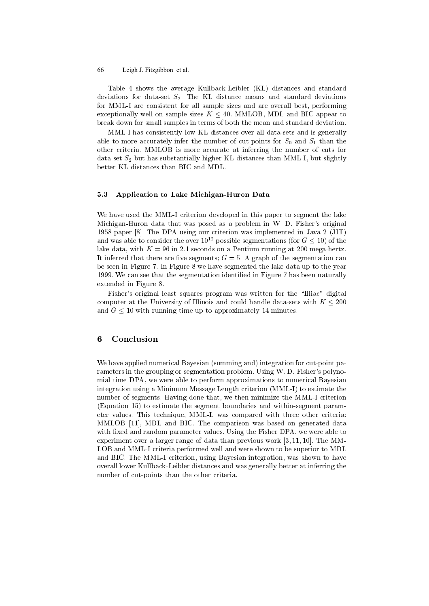Table 4 shows the average Kullback-Leibler (KL) distances and standard deviations for data-set  $S_2$ . The KL distance means and standard deviations for MML-I are consistent for all sample sizes and are overall best, performing exceptionally well on sample sizes  $K < 40$ . MMLOB, MDL and BIC appear to break down for small samples in terms of both the mean and standard deviation.

MML-I has consistently low KL distances over all data-sets and is generally able to more accurately infer the number of cut-points for  $S_0$  and  $S_1$  than the other criteria. MMLOB is more accurate at inferring the number of cuts for data-set  $S_2$  but has substantially higher KL distances than MML-I, but slightly better KL distances than BIC and MDL.

### $5.3$ 5.3 Application to Lake Michigan-Huron Data

We have used the MML-I criterion developed in this paper to segment the lake Michigan-Huron data that was posed as a problem in W. D. Fisher's original 1958 paper [8]. The DPA using our criterion was implemented in Java 2 (JIT) and was able to consider the over  $10^{12}$  possible segmentations (for  $G \le 10$ ) of the lake data, with  $K = 96$  in 2.1 seconds on a Pentium running at 200 mega-hertz. It inferred that there are five segments;  $G = 5$ . A graph of the segmentation can be seen in Figure 7. In Figure 8 we have segmented the lake data up to the year 1999. We can see that the segmentation identied in Figure 7 has been naturally extended in Figure 8.

Fisher's original least squares program was written for the \Illiac" digital computer at the University of Illinois and could handle data-sets with  $K < 200$ and  $G < 10$  with running time up to approximately 14 minutes.

### 6 **Conclusion**

We have applied numerical Bayesian (summing and) integration for cut-point parameters in the grouping or segmentation problem. Using W. D. Fisher's polynomial time DPA, we were able to perform approximations to numerical Bayesian integration using a Minimum Message Length criterion (MML-I) to estimate the number of segments. Having done that, we then minimize the MML-I criterion (Equation 15) to estimate the segment boundaries and within-segment parameter values. This technique, MML-I, was compared with three other criteria: MMLOB [11], MDL and BIC. The comparison was based on generated data with fixed and random parameter values. Using the Fisher DPA, we were able to experiment over a larger range of data than previous work [3, 11, 10]. The MM-LOB and MML-I criteria performed well and were shown to be superior to MDL and BIC. The MML-I criterion, using Bayesian integration, was shown to have overall lower Kullback-Leibler distances and was generally better at inferring the number of cut-points than the other criteria.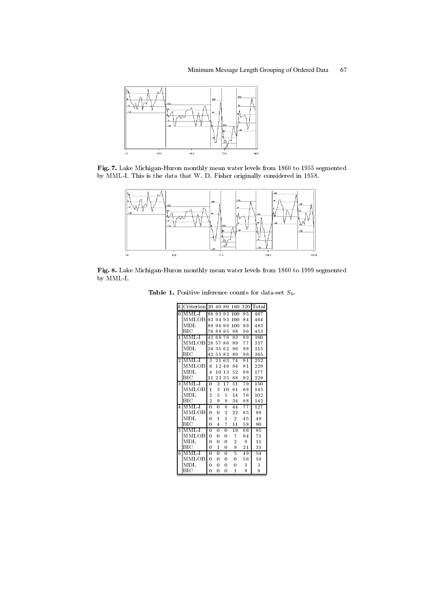

Fig. 7. Lake Michigan-Huron monthly mean water levels from 1860 to 1955 segmented by MML-I. This is the data that W. D. Fisher originally considered in 1958.



Fig. 8. Lake Michigan-Huron monthly mean water levels from 1860 to 1999 segmented by MML-I.

Table 1. Positive inference counts for data-set  $S_0$ .

|                | $k$ Criterion 20 40 80 |                |                |                |                  |                 | 160 320 Total |
|----------------|------------------------|----------------|----------------|----------------|------------------|-----------------|---------------|
| 0              | MML-I                  |                | 86 93 93       |                | 100              | 95              | 467           |
|                | MMLOB                  |                | 93 94 93       |                | 100              | 84              | 464           |
|                | MDL                    |                | 89 96 99       |                | 100              | 99              | 483           |
|                | BIC                    |                | 76 88          | 95             | 98               | 96              | 453           |
| $\mathbf{1}$   | MML-I                  | 43             | 69             | 76             | 83               | 89              | 360           |
|                | MMLOB                  |                | 28 57          | 86             | 89               | 77              | 337           |
|                | MDL                    | 24             | 35             | 62             | 96               | 98              | 315           |
|                | BIC                    | 42             | 55             | 83             | 89               | 96              | 365           |
| $\overline{2}$ | MML I                  | 3              | 21             | 63             | 74               | 91              | 252           |
|                | MMLOB                  | 6              |                | 12 46          | 84               | 81              | 229           |
|                | MDL                    | 4              | 10             | 13             | 52               | 98              | 177           |
|                | ВIС                    | 11             | 23             | 35             | 68               | 92              | 229           |
| 3              | MML I                  | 0              | 3              | 17             | 51               | 79              | 150           |
|                | MMLOB                  | 1              | 3              | 10             | 61               | 68              | 143           |
|                | MDL                    | 2              | 5              | 5              | 14               | 76              | 102           |
|                | ВIС                    | $\overline{2}$ | 9              | 9              | 34               | 88              | 142           |
| $\overline{4}$ | MML I                  | 0              | 0              | 6              | 44               | $\overline{77}$ | 127           |
|                | MMLOB                  | 0              | 0              | $\overline{2}$ | 22               | 65              | 89            |
|                | MDL                    | 0              | $\mathbf{1}$   | $\mathbf{1}$   | $\boldsymbol{2}$ | 45              | 49            |
|                | BIC                    | 0              | $\overline{4}$ | 7              | 11               | 58              | 80            |
| 5              | MML I                  | 0              | 0              | $\overline{0}$ | 19               | 66              | 85            |
|                | MMLOB                  | 0              | 0              | 0              | $\overline{7}$   | 64              | 71            |
|                | MDL                    | 0              | 0              | 0              | $\overline{2}$   | 9               | 11            |
|                | ВIС                    | 0              | 1              | 0              | 9                | 21              | 31            |
| 6              | MML I                  | 0              | 0              | 0              | 5                | 49              | 54            |
|                | MMLOB                  | 0              | 0              | 0              | 0                | 56              | 56            |
|                | MDL                    | 0              | 0              | 0              | 0                | 3               | 3             |
|                | BIC                    | 0              | 0              | 0              | 1                | 8               | 9             |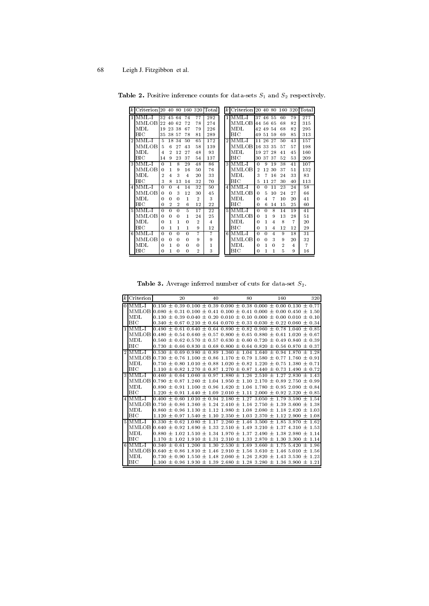| k.             | Criterion 20 40 80 160 |                |                |                |              | 320            | Total |  | $\boldsymbol{k}$ | Criterion <sup>20</sup> |                |          |                | 40 80 160      | 320            | $_{\rm Total}$ |
|----------------|------------------------|----------------|----------------|----------------|--------------|----------------|-------|--|------------------|-------------------------|----------------|----------|----------------|----------------|----------------|----------------|
| $\mathbf{1}$   | MML I                  | 32             | 45             | 64             | 74           | 77             | 292   |  | 1                | MML I                   | 37             | 46       | 55             | 60             | 79             | 277            |
|                | MMLOB                  | 22             | 40             | 62             | 72           | 78             | 274   |  |                  | MMLOB                   | 44             | 56       | 65             | 68             | 82             | 315            |
|                | MDL                    | 19             | 23             | 38             | 67           | 79             | 226   |  |                  | MDL                     | 42             | 49       | 54             | 68             | 82             | 295            |
|                | BIC                    | 35             | 38             | 57             | 78           | 81             | 289   |  |                  | ВIС                     | 49             | 51       | 59             | 69             | 85             | 313            |
| 2              | MML I                  | 5              | 18             | 34             | 50           | 65             | 172   |  | 2                | MML I                   | 11             | 26       | 27             | 50             | 43             | 157            |
|                | MMLOB                  | 5              | 6              | 27             | 43           | 58             | 139   |  |                  | MMLOB                   | 16             | 33       | 35             | 57             | 57             | 198            |
|                | MDL                    | 4              | $\overline{2}$ | 12             | 27           | 48             | 93    |  |                  | MDL                     | 19             | 27       | 28             | 41             | 45             | 160            |
|                | BIC                    | 14             | 9              | 23             | 37           | 54             | 137   |  |                  | BIC                     | 30             | 37       | 37             | 52             | 53             | 209            |
| 3              | MML I                  | $\Omega$       | 1              | 8              | 29           | 48             | 86    |  | 3                | MML I                   | $\Omega$       | 9        | 19             | 38             | 41             | 107            |
|                | MMLOB                  | 0              | 1              | 9              | 16           | 50             | 76    |  |                  | MMLOB                   | $\overline{2}$ | 12       | 30             | 37             | 51             | 132            |
|                | MDL                    | $\overline{2}$ | 4              | 3              | 4            | 20             | 33    |  |                  | MDL                     | 3              | 7        | 16             | 24             | 33             | 83             |
|                | BIC                    | 3              | 8              | 13             | 14           | 32             | 70    |  |                  | BIC                     | 5              | 11       | 27             | 30             | 40             | 113            |
| $\overline{4}$ | MML I                  | 0              | 0              | 4              | 14           | 32             | 50    |  | $\overline{4}$   | MML I                   | $\Omega$       | $\Omega$ | 11             | 23             | 24             | 58             |
|                | MMLOB                  | 0              | 0              | 3              | 12           | 30             | 45    |  |                  | MMLOB                   | 0              | 5        | 1 <sub>0</sub> | 24             | 27             | 66             |
|                | MDL                    | 0              | $\Omega$       | 0              | 1            | $\overline{2}$ | 3     |  |                  | MDL                     | 0              | 4        | 7              | 10             | 20             | 41             |
|                | BIC                    | 0              | $\overline{2}$ | $\overline{2}$ | 6            | 12             | 22    |  |                  | BIC                     | 0              | 6        | 14             | 15             | 25             | 60             |
| 5              | MML-I                  | $\Omega$       | 0              | 0              | 5            | 17             | 22    |  | 5.               | MMLI                    | $\Omega$       | $\Omega$ | 8              | 14             | 19             | 41             |
|                | <b>MMLOB</b>           | $\Omega$       | 0              | 0              | 1            | 24             | 25    |  |                  | MMLOB                   | 0              | 1        | 9              | 13             | 28             | 51             |
|                | MDL                    | 0              | 1              | 1              | $\Omega$     | $\overline{2}$ | 4     |  |                  | MDL                     | $\Omega$       | 1        | 4              | 8              | $\overline{7}$ | 20             |
|                | BIC                    | 0              | 1              | 1              | 1            | 9              | 12    |  |                  | BIC                     | 0              | 1        | 4              | 12             | 12             | 29             |
| 6              | MML I                  | 0              | 0              | 0              | $\mathbf{0}$ | 7              | 7     |  | 6                | MML I                   | 0              | 0        | 4              | 9              | 18             | 31             |
|                | MMLOB                  | 0              | 0              | 0              | $\theta$     | 9              | 9     |  |                  | MMLOB                   | 0              | $\Omega$ | 3              | 9              | 20             | 32             |
|                | <b>MDL</b>             | 0              | 1              | 0              | $\theta$     | 0              | 1     |  |                  | MDL                     | 0              | 1        | 0              | $\overline{2}$ | 4              | $\overline{7}$ |
|                | ВIС                    | 0              | 1              | 0              | 0            | $\overline{2}$ | 3     |  |                  | ВIС                     | 0              | 1        | 1              | 5              | 9              | 16             |

Table 2. Positive inference counts for data-sets  $S_1$  and  $S_2$  respectively.

 $\begin{array}{|c|c|c|c|c|c|}\n\hline\n8 & 44 & 56 & 65 & 68 & 82 & 315 \\
\hline\n42 & 49 & 54 & 68 & 82 & 295 \\
\hline\n\end{array}$  $\begin{array}{|c|c|c|c|c|}\n 42 & 49 & 54 & 68 & 82 & 295 \\
 49 & 51 & 59 & 69 & 85 & 313\n\end{array}$ 49 51 59 69 85 11 26 27 50 43 157 B 16 33 35 57 57 198 MDL 19 27 28 <sup>41</sup> <sup>45</sup> <sup>160</sup> BIC 30 37 37 <sup>52</sup> <sup>53</sup> <sup>209</sup>  $MMLOB 2 12 30 37 51 132$  $\begin{array}{cc|cc} 3 & 7 & 16 & 24 & 33 & 83 \\ 5 & 11 & 27 & 30 & 40 & 113 \end{array}$  $5 \t11 \t27$  $\mathbf{A} = \mathbf{A} \mathbf{A} + \mathbf{A} \mathbf{A} + \mathbf{A} \mathbf{A} + \mathbf{A} \mathbf{A} + \mathbf{A} \mathbf{A} + \mathbf{A} \mathbf{A} + \mathbf{A} \mathbf{A} + \mathbf{A} \mathbf{A} + \mathbf{A} \mathbf{A} + \mathbf{A} \mathbf{A} + \mathbf{A} \mathbf{A} + \mathbf{A} \mathbf{A} + \mathbf{A} \mathbf{A} + \mathbf{A} \mathbf{A} + \mathbf{A} \mathbf{A} + \mathbf{A} \mathbf{A} + \mathbf{A$  $\begin{array}{|c|c|c|c|c|c|}\n\hline\n0 & 5 & 10 & 24 & 27 & 66 \\
\hline\n0 & 4 & 7 & 10 & 20 & 41\n\end{array}$ MDL <sup>0</sup> <sup>4</sup> <sup>7</sup> <sup>10</sup> <sup>20</sup> <sup>41</sup> BIC <sup>0</sup> <sup>6</sup> <sup>14</sup> <sup>15</sup> <sup>25</sup> <sup>60</sup> <sup>5</sup> MML-I <sup>0</sup> <sup>0</sup> <sup>8</sup> <sup>14</sup> <sup>19</sup> <sup>41</sup>  $\overline{0}$  $\mathbf{1}$  $\overline{9}$ MMLOB 0 1 9 13 28 51 28 51 28 51 28 51 28 51 29 31 29 32 33 34 35 35 36 37 38 39 39 30 31 32 33 34 35 35 36 37 MDL 0 1 4 8 7 20 8 7 20 8 7 20 8 7 20 8 7 20 8 7 20 8 7 20 8 7 20 8 7 20 8 7 20 8 7 20 8 7 20 8 7 20 8 7 20 8  $\Omega$ BIC <sup>0</sup> <sup>1</sup> <sup>4</sup> <sup>12</sup> <sup>12</sup> <sup>29</sup> <sup>6</sup> MML-I <sup>0</sup> <sup>0</sup> <sup>4</sup> <sup>9</sup> <sup>18</sup> <sup>31</sup>  $\begin{array}{c|ccccc} \text{B} & 0 & 0 & 3 & 9 & 20 & 32 \\ 0 & 1 & 0 & 2 & 4 & 7 \\ 0 & 1 & 1 & 5 & 9 & 16 \end{array}$ MDL 0 1 2 4 7 2 4 7 2 4 7 2 4 7 2 4 7 2 4 7 2 4 7 2 4 7 2 4 7 2 4 7 2 4 7 2 4 7 2 4 7 2 4 7 2 4 7 2 4 7 2 4 7 BIC <sup>0</sup> <sup>1</sup> <sup>1</sup> <sup>5</sup> <sup>9</sup> <sup>16</sup>

Table 3. Average inferred number of cuts for data-set  $S_2$ .

| $\boldsymbol{k}$ | Criterion | 20 | 40                                                | 80 | 160                                                                                                 | 320                      |
|------------------|-----------|----|---------------------------------------------------|----|-----------------------------------------------------------------------------------------------------|--------------------------|
|                  | OMML I    |    |                                                   |    | $10.150 + 0.39 0.100 + 0.39 0.090 + 0.38 0.000 + 0.00 0.130 + 0.77$                                 |                          |
|                  |           |    |                                                   |    | $\text{MMLOB}$  0.080 + 0.31 0.100 + 0.41 0.100 + 0.41 0.000 + 0.00 0.450 + 1.50                    |                          |
|                  | MDL       |    |                                                   |    | $0.130 + 0.39$ $0.040 + 0.20$ $0.010 + 0.10$ $0.000 + 0.00$ $0.010 + 0.10$                          |                          |
|                  | BІC       |    |                                                   |    | $10.340 + 0.67$ $0.210 + 0.64$ $0.070 + 0.33$ $0.030 + 0.22$ $0.060 + 0.34$                         |                          |
|                  | 1 IMML-I  |    |                                                   |    | $0.490 + 0.61$ $0.640 + 0.64$ $0.890 + 0.82$ $0.960 + 0.78$ $1.040 + 0.85$                          |                          |
|                  |           |    |                                                   |    | $\mathrm{IMMLOB}$  0.480 + 0.54 0.660 + 0.57 0.800 + 0.65 0.880 + 0.61 1.020 + 0.67                 |                          |
|                  | MDL       |    |                                                   |    | $10.560 + 0.62$ $0.570 + 0.57$ $0.630 + 0.60$ $0.720 + 0.49$ $0.840 + 0.39$                         |                          |
|                  | BIC       |    |                                                   |    | $0.730 + 0.66$ $0.830 + 0.68$ $0.800 + 0.64$ $0.820 + 0.56$ $0.870 + 0.37$                          |                          |
|                  | 2 MML I   |    |                                                   |    | $10.530 + 0.69 0.980 + 0.89 1.360 + 1.04 1.640 + 0.94 1.870 + 1.28$                                 |                          |
|                  |           |    |                                                   |    | $\mathrm{IMMLOB}$  0.730 + 0.76 1.100 + 0.86 1.170 + 0.79 1.580 + 0.77 1.760 + 0.91                 |                          |
|                  | IMDL      |    |                                                   |    | $10.750 + 0.80$ $1.010 + 0.88$ $1.020 + 0.82$ $1.220 + 0.75$ $1.380 + 0.71$                         |                          |
|                  | BIC       |    |                                                   |    | $1.110 + 0.82$ 1.270 + 0.87 1.270 + 0.87 1.440 + 0.73 1.490 + 0.72                                  |                          |
|                  | 3 MML I   |    |                                                   |    | $10.460 + 0.64$ 1.060 + 0.97 1.880 + 1.26 2.510 + 1.27 2.830 + 1.43                                 |                          |
|                  | MMLOB     |    |                                                   |    | $10.790 + 0.87$ $1.260 + 1.04$ $1.950 + 1.10$ $2.170 + 0.89$ $2.750 + 0.99$                         |                          |
|                  | MDL       |    |                                                   |    | $0.890 + 0.91$ 1.100 + 0.96 1.620 + 1.06 1.780 + 0.95 2.090 + 0.84                                  |                          |
|                  | BIC       |    |                                                   |    | $11.220 + 0.91$ $1.440 + 1.09$ $2.010 + 1.11$ $2.000 + 0.92$ $2.320 + 0.85$                         |                          |
|                  | 4 MML I   |    |                                                   |    | $10.400 + 0.60$ 1.010 + 0.94 2.180 + 1.27 3.050 + 1.79 3.590 + 1.54                                 |                          |
|                  |           |    |                                                   |    | $\mathrm{IMMLOB}$ 10.750 + 0.86 1.360 $\pm$ 1.24 2.410 $\pm$ 1.16 2.750 $\pm$ 1.39 3.600 $\pm$ 1.38 |                          |
|                  | MDL       |    |                                                   |    | $0.860 + 0.96$ 1.130 + 1.12 1.980 + 1.08 2.080 + 1.18 2.620 + 1.03                                  |                          |
|                  | BIC       |    |                                                   |    | $1.120 \pm 0.97$ $1.540 \pm 1.10$ $2.350 \pm 1.03$ $2.370 \pm 1.12$ $2.900 \pm 1.08$                |                          |
|                  | 5 MML I   |    |                                                   |    | $10.330 + 0.62$ $1.080 + 1.17$ $2.260 + 1.46$ $3.500 + 1.85$ $3.970 + 1.62$                         |                          |
|                  |           |    |                                                   |    | $\mathrm{IMMLOB}$ 10.640 + 0.92 1.690 + 1.33 2.510 + 1.49 3.210 + 1.37 4.310 +                      | 1.53                     |
|                  | MDL       |    |                                                   |    | $10.880 + 1.02$ 1.510 + 1.34 1.970 + 1.37 2.490 + 1.38 2.980 + 1.14                                 |                          |
|                  | BIC       |    |                                                   |    | $1.170 + 1.02$ $1.910 + 1.31$ $2.310 + 1.33$ $2.870 + 1.30$ $3.300 + 1.14$                          |                          |
|                  | 16 IMML I |    | $10.340 + 0.61$ 1.200 + 1.30 2.530 + 1.69 3.660 + |    |                                                                                                     | $1.75$ 5.420 $+$<br>1.96 |
|                  |           |    |                                                   |    | $\mathrm{IMMLOB}$ [0.640 + 0.86 1.810 + 1.46 2.910 + 1.56 3.610 + 1.46 5.010 + 1.56                 |                          |
|                  | IMDL.     |    |                                                   |    | $0.730 + 0.901.550 + 1.482.060 + 1.262.820 + 1.433.530 + 1.23$                                      |                          |
|                  | BIC       |    |                                                   |    | $1.100 + 0.96$ 1.930 + 1.39 2.680 + 1.28 3.280 + 1.36 3.900 + 1.21                                  |                          |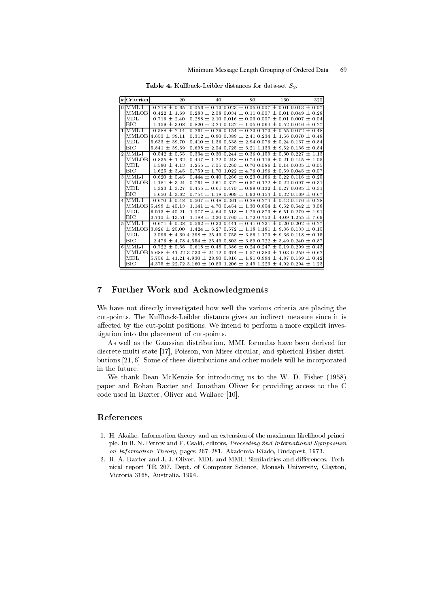| $\boldsymbol{k}$ | Criterion       | 20                    | 40                            | 80                                                                                     | 160        | 320                                  |
|------------------|-----------------|-----------------------|-------------------------------|----------------------------------------------------------------------------------------|------------|--------------------------------------|
|                  | 0 MML I         | $0.218 + 0.65$        |                               | $0.056 + 0.13$ $0.023 + 0.05$ $0.007 + 0.01$ $0.013 + 0.07$                            |            |                                      |
|                  | MMLOB           | $0.422 + 1.69$        |                               | $0.283 + 2.08$ $0.034 + 0.11$ $0.007 + 0.01$ $0.049 + 0.28$                            |            |                                      |
|                  | MDL             | $0.716 + 2.40$        |                               | $0.288 + 2.10\ 0.016 + 0.03\ 0.007 + 0.01\ 0.007 + 0.04$                               |            |                                      |
|                  | BІC             | $1.159 + 3.08$        |                               | $0.820 + 3.24$ $0.132 + 1.05$ $0.064 + 0.52$ $0.046 + 0.27$                            |            |                                      |
|                  | 1 IMML I        | $0.588 + 2.14$        | $0.261 +$                     | $0.29$ 0.154 $+$                                                                       |            | $0.23$ $0.173 + 0.55$ $0.072 + 0.48$ |
|                  | MMLOB           | $4.650 + 39.11$       |                               | $0.312 + 0.90$ $0.389 + 2.41$ $0.234 + 1.56$ $0.070 + 0.48$                            |            |                                      |
|                  | MDL             | $5.633 + 39.70$       |                               | $0.410 + 1.36$ $0.538 + 2.94$ $0.076 + 0.24$ $0.137 + 0.84$                            |            |                                      |
|                  | BІC             | $5.841 + 39.69$       |                               | $0.698 + 2.04$ $0.725 + 3.21$ $1.133 + 9.52$ $0.136 + 0.84$                            |            |                                      |
|                  | $2$ IMML I      | $0.542 + 0.55$        | $0.334 +$                     | $0.30$ $0.244 + 0.36$ $0.159 + 0.30$ $0.227$                                           |            | 1.13                                 |
|                  | MMLOB           | $0.835 + 1.62$        | $0.447 +$                     | $1.22$ 0.248 + 0.74 0.119 + 0.21 0.145 + 1.05                                          |            |                                      |
|                  | MDL             | $1.590 \pm 4.13$      | $1.255 + 7.05$ 0.260 +        |                                                                                        |            | $0.70$ $0.086 + 0.14$ $0.035 + 0.05$ |
|                  | BIC             | $1.625 \pm 3.45$      |                               | $0.759 + 1.70$ $1.022 + 4.76$ $0.196 + 0.59$ $0.045 + 0.07$                            |            |                                      |
|                  | 3 MML I         | $0.620 + 0.45$        | 0.444                         | $0.40 \; 0.266 +$<br>$0.23$ $0.186 +$                                                  | 0.22 0.116 | 0.25                                 |
|                  | MMLOB           | $1.181 + 3.24$        | $0.761 + 2.61$ $0.322 +$      |                                                                                        |            | $0.57$ $0.122 + 0.22$ $0.097 + 0.31$ |
|                  | MDL             | $1.323 + 3.27$        | $0.455 + 0.61$ $0.470 +$      |                                                                                        |            | $0.99$ $0.132 + 0.27$ $0.085 + 0.31$ |
|                  | BIC             | $1.650 + 3.62$        |                               | $0.754 + 1.18$ $0.909 + 1.93$ $0.154 + 0.32$ $0.169 + 0.67$                            |            |                                      |
|                  | 4 MML I         | $0.670 + 0.48$        | $0.507 +$                     | $0.28$ $0.274$ +<br>$0.48$ $0.361 +$                                                   |            | $0.43$ $0.176 + 0.28$                |
|                  |                 | $MMLOB$ 5.499 + 40.13 |                               | $1.141 + 4.70$ $0.454 + 1.30$ $0.854 + 6.52$ $0.542 + 3.08$                            |            |                                      |
|                  | MDL             | $6.013 + 40.21$       | $1.077 + 4.64$ 0.518 +        | $1.29$ 0.873 + 6.51 0.279 +                                                            |            | 1.91                                 |
|                  | BIC             | $3.710 + 13.51$       | $1.188 + 3.30$ 0.760 +        |                                                                                        |            | $1.72$ $0.753 + 4.09$ $1.255 + 7.69$ |
|                  | 5 MML I         | $0.671 + 0.38$        | $0.562 +$                     | $0.33$ $0.441 +$<br>0.41                                                               |            | $0.231 + 0.20$ $0.202 + 0.27$        |
|                  |                 | $MMLOB$ 3.826 + 25.00 | $1.424 + 6.27$ 0.572 +        |                                                                                        |            | $1.18$ $1.181$ + 9.36 0.133 + 0.15   |
|                  | MDL             |                       |                               | $2.096 + 4.69 + 298 + 25.49 + 0.755 + 3.86 + 1.173 + 9.36 + 0.118 + 0.15$              |            |                                      |
|                  | BІC             |                       |                               | $2.476 + 4.78 + 554 + 25.49 + 0.803 + 3.89 + 0.722 + 3.49 + 0.240 + 0.87$              |            |                                      |
|                  | 6 MML I         | $0.722 +$<br>0.36     | $0.618 + 0.48$ 0.386 +        | 0.24 0.247                                                                             | $+$        | 0.19 0.299<br>$+0.43$                |
|                  | $MMLOB15.688 +$ |                       | $41.22$ 3.733 + 24.12 0.674 + | $1.57$ 0.383 $+$                                                                       |            | $1.03$ 0.259 + 0.62                  |
|                  | MDL             |                       |                               | $5.756 \pm 41.21$ $4.930 \pm 28.90$ $0.816 \pm 1.81$ $0.994 \pm 4.87$ $0.169 \pm 0.42$ |            |                                      |
|                  | BІC             |                       |                               | $4.375 + 22.72$ $3.160 + 10.83$ $1.206 + 2.49$ $1.223 + 4.92$ $0.294 + 1.23$           |            |                                      |

Table 4. Kullback-Leibler distances for data-set  $S_2$ .

### $\overline{7}$ Further Work and Acknowledgments

We have not directly investigated how well the various criteria are placing the cut-points. The Kullback-Leibler distance gives an indirect measure since it is affected by the cut-point positions. We intend to perform a more explicit investigation into the placement of cut-points.

As well as the Gaussian distribution, MML formulas have been derived for discrete multi-state [17], Poisson, von Mises circular, and spherical Fisher distributions [21, 6]. Some of these distributions and other models will be incorporated in the future.

We thank Dean McKenzie for introducing us to the W. D. Fisher (1958) paper and Rohan Baxter and Jonathan Oliver for providing access to the C code used in Baxter, Oliver and Wallace [10].

## References

- 1. H. Akaike. Information theory and an extension of the maximum likelihood principle. In B. N. Petrov and F. Csaki, editors, Proceeding 2nd International Symposium on Information Theory, pages 267-281. Akademia Kiado, Budapest, 1973.
- 2. R. A. Baxter and J. J. Oliver. MDL and MML: Similarities and differences. Technical report TR 207, Dept. of Computer Science, Monash University, Clayton, Victoria 3168, Australia, 1994.